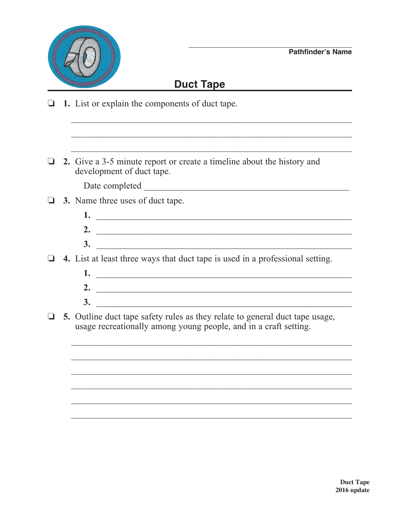

## **Duct Tape**

- $\Box$  1. List or explain the components of duct tape.
- $\Box$  2. Give a 3-5 minute report or create a timeline about the history and development of duct tape.

 $\Box$  3. Name three uses of duct tape.

| , |  |
|---|--|
| ັ |  |

 $\Box$  4. List at least three ways that duct tape is used in a professional setting.

- 2.  $\blacksquare$
- 
- $\Box$  5. Outline duct tape safety rules as they relate to general duct tape usage, usage recreationally among young people, and in a craft setting.